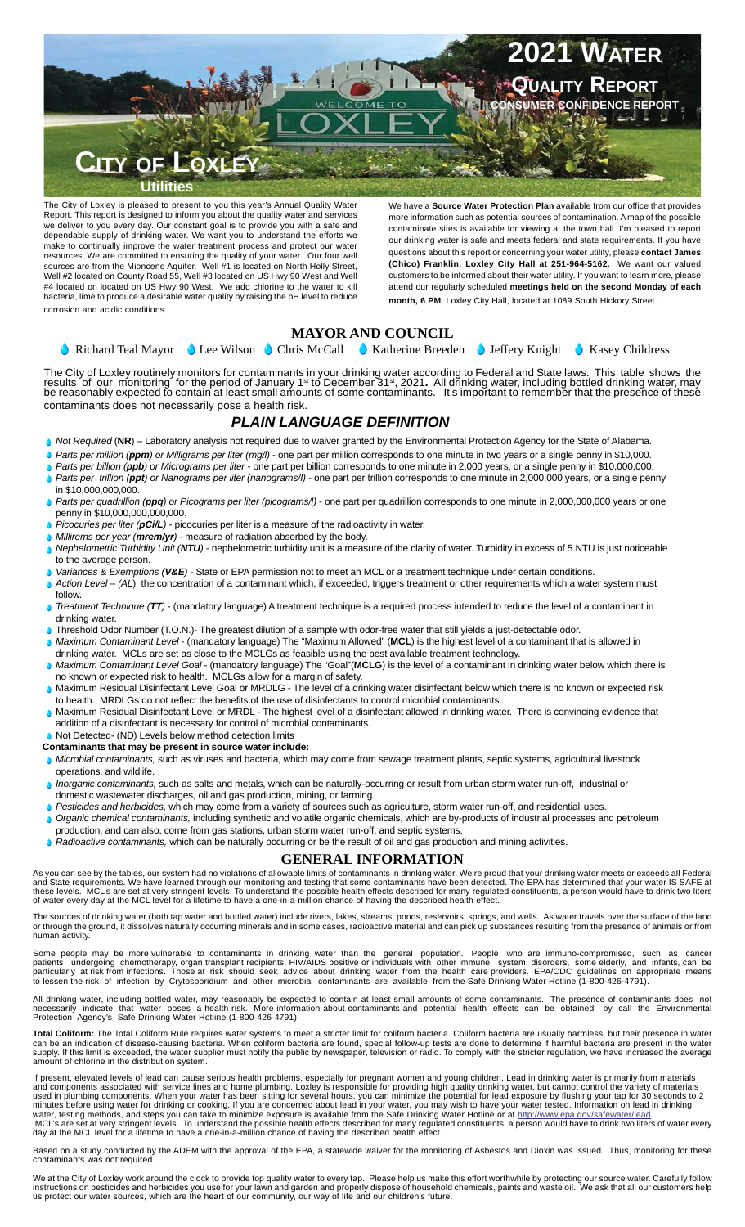

The City of Loxley is pleased to present to you this year's Annual Quality Water Report. This report is designed to inform you about the quality water and services we deliver to you every day. Our constant goal is to provide you with a safe and dependable supply of drinking water. We want you to understand the efforts we make to continually improve the water treatment process and protect our water resources. We are committed to ensuring the quality of your water. Our four well sources are from the Mioncene Aquifer. Well #1 is located on North Holly Street, Well #2 located on County Road 55, Well #3 located on US Hwy 90 West and Well #4 located on located on US Hwy 90 West. We add chlorine to the water to kill bacteria, lime to produce a desirable water quality by raising the pH level to reduce corrosion and acidic conditions.

We have a **Source Water Protection Plan** available from our office that provides more information such as potential sources of contamination. A map of the possible contaminate sites is available for viewing at the town hall. I'm pleased to report our drinking water is safe and meets federal and state requirements. If you have questions about this report or concerning your water utility, please **contact James (Chico) Franklin, Loxley City Hall at 251-964-5162.** We want our valued customers to be informed about their water utility. If you want to learn more, please attend our regularly scheduled **meetings held on the second Monday of each month, 6 PM**, Loxley City Hall, located at 1089 South Hickory Street.

## **MAYOR AND COUNCIL**

Richard Teal Mayor  $\bigcirc$  Lee Wilson  $\bigcirc$  Chris McCall  $\bigcirc$  Katherine Breeden  $\bigcirc$  Jeffery Knight  $\bigcirc$  Kasey Childress

The City of Loxley routinely monitors for contaminants in your drinking water according to Federal and State laws. This table shows the results of our monitoring for the period of January 1st to December 31st, 2021. All drinking water, including bottled drinking water, may<br>be reasonably expected to contain at least small amounts of some contaminants. It's contaminants does not necessarily pose a health risk.

## *PLAIN LANGUAGE DEFINITION*

- *Not Required* (NR) Laboratory analysis not required due to waiver granted by the Environmental Protection Agency for the State of Alabama.
- *Parts per million (ppm) or Milligrams per liter (mg/l)* one part per million corresponds to one minute in two years or a single penny in \$10,000.
- *Parts per billion (ppb) or Micrograms per liter* one part per billion corresponds to one minute in 2,000 years, or a single penny in \$10,000,000.
- *Parts per trillion (ppt) or Nanograms per liter (nanograms/l)* one part per trillion corresponds to one minute in 2,000,000 years, or a single penny in \$10,000,000,000.
- *Parts per quadrillion (ppq) or Picograms per liter (picograms/l)* one part per quadrillion corresponds to one minute in 2,000,000,000 years or one penny in \$10,000,000,000,000.
- *Picocuries per liter (pCi/L)* picocuries per liter is a measure of the radioactivity in water.
- *Millirems per year (mrem/yr)* measure of radiation absorbed by the body.
- *Nephelometric Turbidity Unit (NTU)* nephelometric turbidity unit is a measure of the clarity of water. Turbidity in excess of 5 NTU is just noticeable to the average person.
- *Variances & Exemptions (V&E)* State or EPA permission not to meet an MCL or a treatment technique under certain conditions.
- *Action Level (AL*) the concentration of a contaminant which, if exceeded, triggers treatment or other requirements which a water system must follow.
- *Treatment Technique (TT)* (mandatory language) A treatment technique is a required process intended to reduce the level of a contaminant in drinking water.
- Threshold Odor Number (T.O.N.)- The greatest dilution of a sample with odor-free water that still yields a just-detectable odor.
- *Maximum Contaminant Level* (mandatory language) The "Maximum Allowed" (**MCL**) is the highest level of a contaminant that is allowed in drinking water. MCLs are set as close to the MCLGs as feasible using the best available treatment technology.
- *Maximum Contaminant Level Goal* (mandatory language) The "Goal"(**MCLG**) is the level of a contaminant in drinking water below which there is no known or expected risk to health. MCLGs allow for a margin of safety.
- Maximum Residual Disinfectant Level Goal or MRDLG The level of a drinking water disinfectant below which there is no known or expected risk to health. MRDLGs do not reflect the benefits of the use of disinfectants to control microbial contaminants.
- Maximum Residual Disinfectant Level or MRDL The highest level of a disinfectant allowed in drinking water. There is convincing evidence that addition of a disinfectant is necessary for control of microbial contaminants.
- Not Detected- (ND) Levels below method detection limits
- **Contaminants that may be present in source water include:**
- *Microbial contaminants,* such as viruses and bacteria, which may come from sewage treatment plants, septic systems, agricultural livestock operations, and wildlife.
- *Inorganic contaminants,* such as salts and metals, which can be naturally-occurring or result from urban storm water run-off, industrial or domestic wastewater discharges, oil and gas production, mining, or farming.
- *Pesticides and herbicides,* which may come from a variety of sources such as agriculture, storm water run-off, and residential uses.
- *Organic chemical contaminants,* including synthetic and volatile organic chemicals, which are by-products of industrial processes and petroleum
- production, and can also, come from gas stations, urban storm water run-off, and septic systems.
	- *Radioactive contaminants,* which can be naturally occurring or be the result of oil and gas production and mining activities.

## **GENERAL INFORMATION**

As you can see by the tables, our system had no violations of allowable limits of contaminants in drinking water. We're proud that your drinking water meets or exceeds all Federal<br>and State requirements. We have learned th

The sources of drinking water (both tap water and bottled water) include rivers, lakes, streams, ponds, reservoirs, springs, and wells. As water travels over the surface of the land<br>or through the ground, it dissolves natu

Some people may be more vulnerable to contaminants in drinking water than the general population. People who are immuno-compromised, such as cancer<br>patients undergoing chemotherapy, organ transplant recipients, HIV/AIDS po

All drinking water, including bottled water, may reasonably be expected to contain at least small amounts of some contaminants. The presence of contaminants does not<br>necessarily indicate that water poses a health risk. Mor

**Total Coliform:** The Total Coliform Rule requires water systems to meet a stricter limit for coliform bacteria. Coliform bacteria are usually harmless, but their presence in water<br>can be an indication of disease-causing b amount of chlorine in the distribution system.

If present, elevated levels of lead can cause serious health problems, especially for pregnant women and young children. Lead in drinking water is primarily from materials<br>and components associated with service lines and h

Based on a study conducted by the ADEM with the approval of the EPA, a statewide waiver for the monitoring of Asbestos and Dioxin was issued. Thus, monitoring for these s not required

We at the City of Loxley work around the clock to provide top quality water to every tap. Please help us make this effort worthwhile by protecting our source water. Carefully follow<br>instructions on pesticides and herbicide